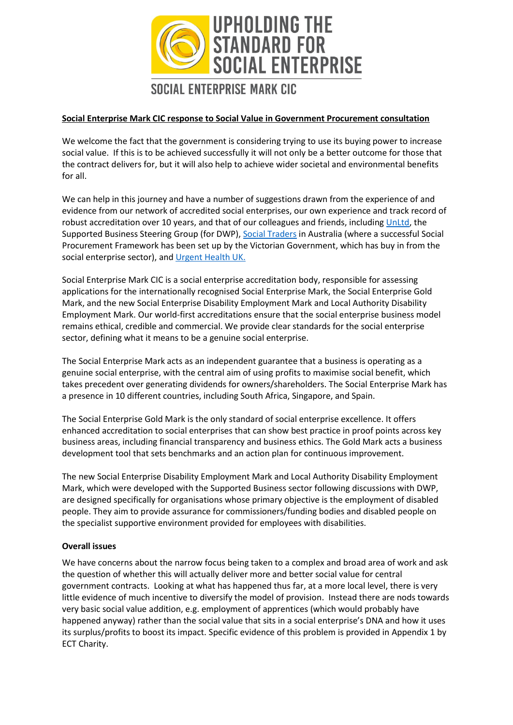

#### **Social Enterprise Mark CIC response to Social Value in Government Procurement consultation**

We welcome the fact that the government is considering trying to use its buying power to increase social value. If this is to be achieved successfully it will not only be a better outcome for those that the contract delivers for, but it will also help to achieve wider societal and environmental benefits for all.

We can help in this journey and have a number of suggestions drawn from the experience of and evidence from our network of accredited social enterprises, our own experience and track record of robust accreditation over 10 years, and that of our colleagues and friends, including [UnLtd,](https://www.unltd.org.uk/) the Supported Business Steering Group (for DWP), [Social Traders](https://www.socialtraders.com.au/) in Australia (where a successful Social Procurement Framework has been set up by the Victorian Government, which has buy in from the social enterprise sector), and [Urgent Health UK.](https://www.urgenthealthuk.com/)

Social Enterprise Mark CIC is a social enterprise accreditation body, responsible for assessing applications for the internationally recognised Social Enterprise Mark, the Social Enterprise Gold Mark, and the new Social Enterprise Disability Employment Mark and Local Authority Disability Employment Mark. Our world-first accreditations ensure that the social enterprise business model remains ethical, credible and commercial. We provide clear standards for the social enterprise sector, defining what it means to be a genuine social enterprise.

The Social Enterprise Mark acts as an independent guarantee that a business is operating as a genuine social enterprise, with the central aim of using profits to maximise social benefit, which takes precedent over generating dividends for owners/shareholders. The Social Enterprise Mark has a presence in 10 different countries, including South Africa, Singapore, and Spain.

The Social Enterprise Gold Mark is the only standard of social enterprise excellence. It offers enhanced accreditation to social enterprises that can show best practice in proof points across key business areas, including financial transparency and business ethics. The Gold Mark acts a business development tool that sets benchmarks and an action plan for continuous improvement.

The new Social Enterprise Disability Employment Mark and Local Authority Disability Employment Mark, which were developed with the Supported Business sector following discussions with DWP, are designed specifically for organisations whose primary objective is the employment of disabled people. They aim to provide assurance for commissioners/funding bodies and disabled people on the specialist supportive environment provided for employees with disabilities.

#### **Overall issues**

We have concerns about the narrow focus being taken to a complex and broad area of work and ask the question of whether this will actually deliver more and better social value for central government contracts. Looking at what has happened thus far, at a more local level, there is very little evidence of much incentive to diversify the model of provision. Instead there are nods towards very basic social value addition, e.g. employment of apprentices (which would probably have happened anyway) rather than the social value that sits in a social enterprise's DNA and how it uses its surplus/profits to boost its impact. Specific evidence of this problem is provided in Appendix 1 by ECT Charity.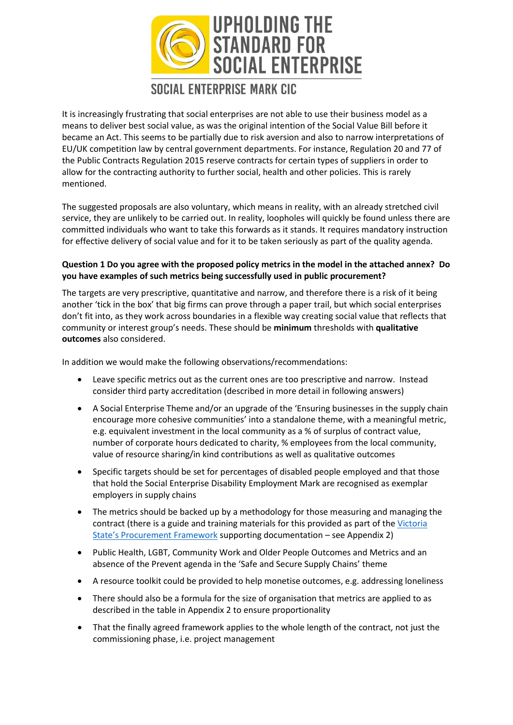

It is increasingly frustrating that social enterprises are not able to use their business model as a means to deliver best social value, as was the original intention of the Social Value Bill before it became an Act. This seems to be partially due to risk aversion and also to narrow interpretations of EU/UK competition law by central government departments. For instance, Regulation 20 and 77 of the Public Contracts Regulation 2015 reserve contracts for certain types of suppliers in order to allow for the contracting authority to further social, health and other policies. This is rarely mentioned.

The suggested proposals are also voluntary, which means in reality, with an already stretched civil service, they are unlikely to be carried out. In reality, loopholes will quickly be found unless there are committed individuals who want to take this forwards as it stands. It requires mandatory instruction for effective delivery of social value and for it to be taken seriously as part of the quality agenda.

#### **Question 1 Do you agree with the proposed policy metrics in the model in the attached annex? Do you have examples of such metrics being successfully used in public procurement?**

The targets are very prescriptive, quantitative and narrow, and therefore there is a risk of it being another 'tick in the box' that big firms can prove through a paper trail, but which social enterprises don't fit into, as they work across boundaries in a flexible way creating social value that reflects that community or interest group's needs. These should be **minimum** thresholds with **qualitative outcomes** also considered.

In addition we would make the following observations/recommendations:

- Leave specific metrics out as the current ones are too prescriptive and narrow. Instead consider third party accreditation (described in more detail in following answers)
- A Social Enterprise Theme and/or an upgrade of the 'Ensuring businesses in the supply chain encourage more cohesive communities' into a standalone theme, with a meaningful metric, e.g. equivalent investment in the local community as a % of surplus of contract value, number of corporate hours dedicated to charity, % employees from the local community, value of resource sharing/in kind contributions as well as qualitative outcomes
- Specific targets should be set for percentages of disabled people employed and that those that hold the Social Enterprise Disability Employment Mark are recognised as exemplar employers in supply chains
- The metrics should be backed up by a methodology for those measuring and managing the contract (there is a guide and training materials for this provided as part of the [Victoria](https://buyingfor.vic.gov.au/social-procurement-framework#social-procurement-framework) State'[s Procurement Framework](https://buyingfor.vic.gov.au/social-procurement-framework#social-procurement-framework) supporting documentation – see Appendix 2)
- Public Health, LGBT, Community Work and Older People Outcomes and Metrics and an absence of the Prevent agenda in the 'Safe and Secure Supply Chains' theme
- A resource toolkit could be provided to help monetise outcomes, e.g. addressing loneliness
- There should also be a formula for the size of organisation that metrics are applied to as described in the table in Appendix 2 to ensure proportionality
- That the finally agreed framework applies to the whole length of the contract, not just the commissioning phase, i.e. project management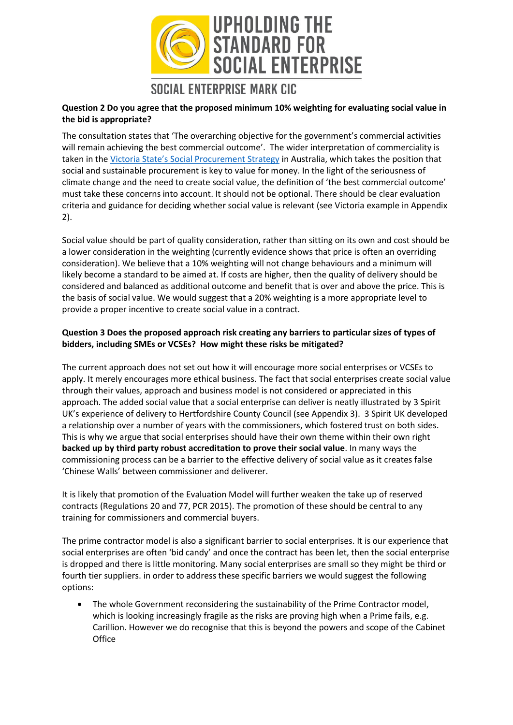

#### **Question 2 Do you agree that the proposed minimum 10% weighting for evaluating social value in the bid is appropriate?**

The consultation states that 'The overarching objective for the government's commercial activities will remain achieving the best commercial outcome'. The wider interpretation of commerciality is taken in the Victoria State's [Social Procurement Strategy](https://buyingfor.vic.gov.au/social-procurement-framework#social-procurement-framework) in Australia, which takes the position that social and sustainable procurement is key to value for money. In the light of the seriousness of climate change and the need to create social value, the definition of 'the best commercial outcome' must take these concerns into account. It should not be optional. There should be clear evaluation criteria and guidance for deciding whether social value is relevant (see Victoria example in Appendix 2).

Social value should be part of quality consideration, rather than sitting on its own and cost should be a lower consideration in the weighting (currently evidence shows that price is often an overriding consideration). We believe that a 10% weighting will not change behaviours and a minimum will likely become a standard to be aimed at. If costs are higher, then the quality of delivery should be considered and balanced as additional outcome and benefit that is over and above the price. This is the basis of social value. We would suggest that a 20% weighting is a more appropriate level to provide a proper incentive to create social value in a contract.

#### **Question 3 Does the proposed approach risk creating any barriers to particular sizes of types of bidders, including SMEs or VCSEs? How might these risks be mitigated?**

The current approach does not set out how it will encourage more social enterprises or VCSEs to apply. It merely encourages more ethical business. The fact that social enterprises create social value through their values, approach and business model is not considered or appreciated in this approach. The added social value that a social enterprise can deliver is neatly illustrated by 3 Spirit UK's experience of delivery to Hertfordshire County Council (see Appendix 3). 3 Spirit UK developed a relationship over a number of years with the commissioners, which fostered trust on both sides. This is why we argue that social enterprises should have their own theme within their own right **backed up by third party robust accreditation to prove their social value**. In many ways the commissioning process can be a barrier to the effective delivery of social value as it creates false 'Chinese Walls' between commissioner and deliverer.

It is likely that promotion of the Evaluation Model will further weaken the take up of reserved contracts (Regulations 20 and 77, PCR 2015). The promotion of these should be central to any training for commissioners and commercial buyers.

The prime contractor model is also a significant barrier to social enterprises. It is our experience that social enterprises are often 'bid candy' and once the contract has been let, then the social enterprise is dropped and there is little monitoring. Many social enterprises are small so they might be third or fourth tier suppliers. in order to address these specific barriers we would suggest the following options:

• The whole Government reconsidering the sustainability of the Prime Contractor model, which is looking increasingly fragile as the risks are proving high when a Prime fails, e.g. Carillion. However we do recognise that this is beyond the powers and scope of the Cabinet **Office**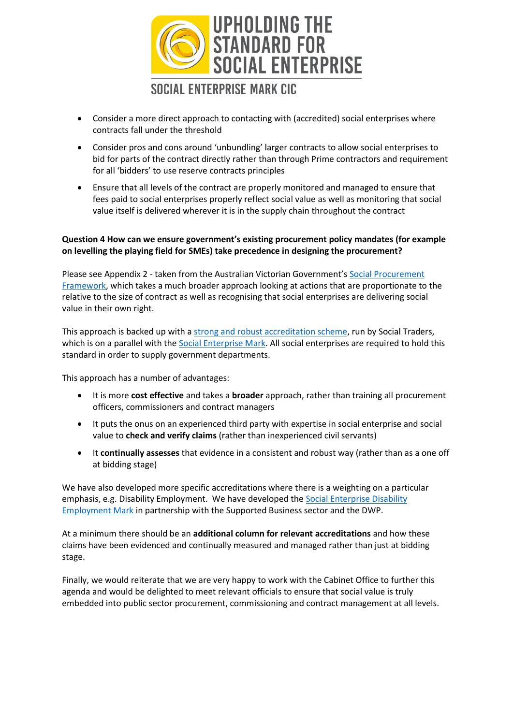

- Consider a more direct approach to contacting with (accredited) social enterprises where contracts fall under the threshold
- Consider pros and cons around 'unbundling' larger contracts to allow social enterprises to bid for parts of the contract directly rather than through Prime contractors and requirement for all 'bidders' to use reserve contracts principles
- Ensure that all levels of the contract are properly monitored and managed to ensure that fees paid to social enterprises properly reflect social value as well as monitoring that social value itself is delivered wherever it is in the supply chain throughout the contract

#### **Question 4 How can we ensure government's existing procurement policy mandates (for example on levelling the playing field for SMEs) take precedence in designing the procurement?**

Please see Appendix 2 - taken from the Australian Victorian Government's [Social Procurement](https://buyingfor.vic.gov.au/social-procurement-framework#social-procurement-framework)  [Framework,](https://buyingfor.vic.gov.au/social-procurement-framework#social-procurement-framework) which takes a much broader approach looking at actions that are proportionate to the relative to the size of contract as well as recognising that social enterprises are delivering social value in their own right.

This approach is backed up with a [strong and robust accreditation scheme,](https://buyingfor.vic.gov.au/sites/default/files/2018-09/social_enterprises_2018.pdf) run by Social Traders, which is on a parallel with th[e Social Enterprise Mark.](https://www.socialenterprisemark.org.uk/) All social enterprises are required to hold this standard in order to supply government departments.

This approach has a number of advantages:

- It is more **cost effective** and takes a **broader** approach, rather than training all procurement officers, commissioners and contract managers
- It puts the onus on an experienced third party with expertise in social enterprise and social value to **check and verify claims** (rather than inexperienced civil servants)
- It **continually assesses** that evidence in a consistent and robust way (rather than as a one off at bidding stage)

We have also developed more specific accreditations where there is a weighting on a particular emphasis, e.g. Disability Employment. We have developed the Social Enterprise Disability [Employment Mark](https://www.socialenterprisemark.org.uk/the-social-enterprise-disability-employment-mark/) in partnership with the Supported Business sector and the DWP.

At a minimum there should be an **additional column for relevant accreditations** and how these claims have been evidenced and continually measured and managed rather than just at bidding stage.

Finally, we would reiterate that we are very happy to work with the Cabinet Office to further this agenda and would be delighted to meet relevant officials to ensure that social value is truly embedded into public sector procurement, commissioning and contract management at all levels.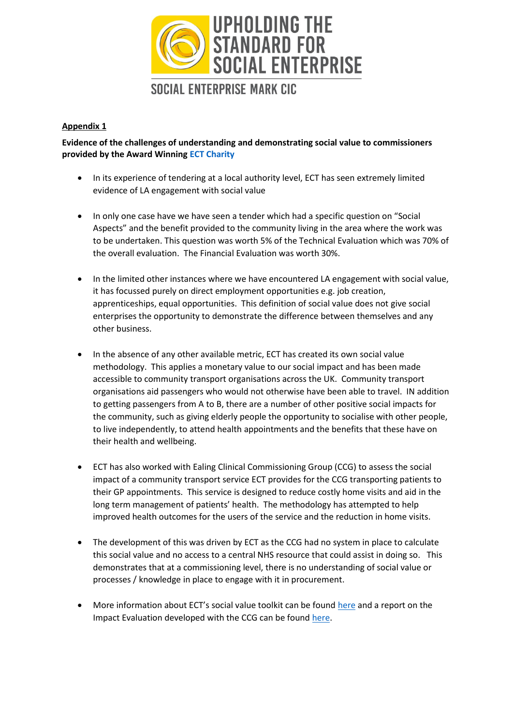

### **Appendix 1**

**Evidence of the challenges of understanding and demonstrating social value to commissioners provided by the Award Winning [ECT Charity](https://ectcharity.co.uk/)**

- In its experience of tendering at a local authority level, ECT has seen extremely limited evidence of LA engagement with social value
- In only one case have we have seen a tender which had a specific question on "Social Aspects" and the benefit provided to the community living in the area where the work was to be undertaken. This question was worth 5% of the Technical Evaluation which was 70% of the overall evaluation. The Financial Evaluation was worth 30%.
- In the limited other instances where we have encountered LA engagement with social value, it has focussed purely on direct employment opportunities e.g. job creation, apprenticeships, equal opportunities. This definition of social value does not give social enterprises the opportunity to demonstrate the difference between themselves and any other business.
- In the absence of any other available metric, ECT has created its own social value methodology. This applies a monetary value to our social impact and has been made accessible to community transport organisations across the UK. Community transport organisations aid passengers who would not otherwise have been able to travel. IN addition to getting passengers from A to B, there are a number of other positive social impacts for the community, such as giving elderly people the opportunity to socialise with other people, to live independently, to attend health appointments and the benefits that these have on their health and wellbeing.
- ECT has also worked with Ealing Clinical Commissioning Group (CCG) to assess the social impact of a community transport service ECT provides for the CCG transporting patients to their GP appointments. This service is designed to reduce costly home visits and aid in the long term management of patients' health. The methodology has attempted to help improved health outcomes for the users of the service and the reduction in home visits.
- The development of this was driven by ECT as the CCG had no system in place to calculate this social value and no access to a central NHS resource that could assist in doing so. This demonstrates that at a commissioning level, there is no understanding of social value or processes / knowledge in place to engage with it in procurement.
- More information about ECT's social value toolkit can be found [here](http://ectcharity.co.uk/projects/social-value-toolkit) and a report on the Impact Evaluation developed with the CCG can be found [here.](http://ectcharity.co.uk/files_uploads/PlusBus_for_Health_Impact_Evaluation_2018.pdf)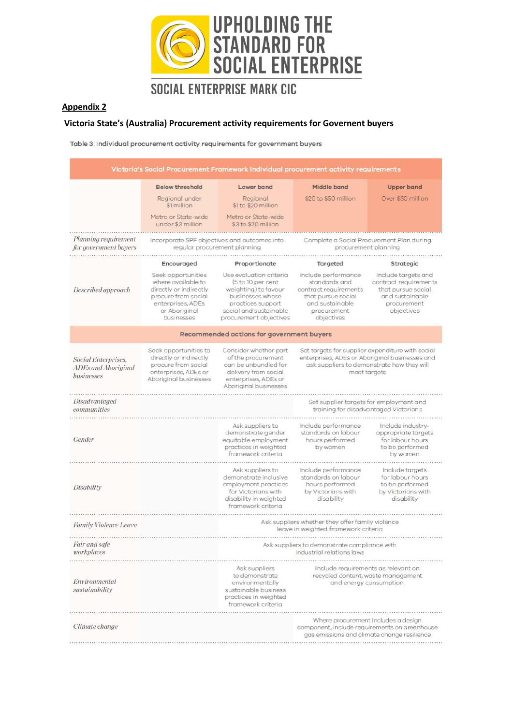

#### **Appendix 2**

#### **Victoria State's (Australia) Procurement activity requirements for Governent buyers**

Table 3: Individual procurement activity requirements for government buyers

| Victoria's Social Procurement Framework Individual procurement activity requirements |                                                                                                                                               |                                                                                                                                                                   |                                                                                                                                                                  |                                                                                                                    |  |  |
|--------------------------------------------------------------------------------------|-----------------------------------------------------------------------------------------------------------------------------------------------|-------------------------------------------------------------------------------------------------------------------------------------------------------------------|------------------------------------------------------------------------------------------------------------------------------------------------------------------|--------------------------------------------------------------------------------------------------------------------|--|--|
|                                                                                      | <b>Below threshold</b>                                                                                                                        | Lower band                                                                                                                                                        | Middle band                                                                                                                                                      | <b>Upper band</b>                                                                                                  |  |  |
|                                                                                      | Regional under<br>\$1 million                                                                                                                 | Regional<br>\$1 to \$20 million                                                                                                                                   | \$20 to \$50 million                                                                                                                                             | Over \$50 million                                                                                                  |  |  |
|                                                                                      | Metro or State-wide<br>under \$3 million                                                                                                      | Metro or State-wide<br>\$3 to \$20 million                                                                                                                        |                                                                                                                                                                  |                                                                                                                    |  |  |
| Planning requirement<br>for government buyers                                        |                                                                                                                                               | Incorporate SPF objectives and outcomes into<br>regular procurement planning                                                                                      | Complete a Social Procurement Plan during<br>procurement planning                                                                                                |                                                                                                                    |  |  |
|                                                                                      | Encouraged                                                                                                                                    | Proportionate                                                                                                                                                     | Targeted                                                                                                                                                         | Strategic                                                                                                          |  |  |
| Described approach                                                                   | Seek opportunities<br>where available to<br>directly or indirectly<br>procure from social<br>enterprises, ADEs<br>or Aboriginal<br>businesses | Use evaluation criteria<br>(5 to 10 per cent<br>weighting) to favour<br>businesses whose<br>practices support<br>social and sustainable<br>procurement objectives | Include performance<br>standards and<br>contract requirements<br>that pursue social<br>and sustainable<br>procurement<br>objectives                              | Include targets and<br>contract requirements<br>that pursue social<br>and sustainable<br>procurement<br>objectives |  |  |
|                                                                                      |                                                                                                                                               | Recommended actions for government buyers                                                                                                                         |                                                                                                                                                                  |                                                                                                                    |  |  |
| Social Enterprises,<br><b>ADEs and Aboriginal</b><br>businesses                      | Seek opportunities to<br>directly or indirectly<br>procure from social<br>enterprises, ADEs or<br>Aboriginal businesses                       | Consider whether part<br>of the procurement<br>can be unbundled for<br>delivery from social<br>enterprises, ADEs or<br>Aboriginal businesses                      | Set targets for supplier expenditure with social<br>enterprises, ADEs or Aboriginal businesses and<br>ask suppliers to demonstrate how they will<br>meet targets |                                                                                                                    |  |  |
| <b>Disadvantaged</b><br>communities                                                  |                                                                                                                                               |                                                                                                                                                                   | Set supplier targets for employment and<br>training for disadvantaged Victorians                                                                                 |                                                                                                                    |  |  |
| Gender                                                                               |                                                                                                                                               | Ask suppliers to<br>demonstrate gender<br>equitable employment<br>practices in weighted<br>framework criteria                                                     | Include performance<br>standards on labour<br>hours performed<br>by women                                                                                        | Include industry-<br>appropriate targets<br>for labour hours<br>to be performed<br>by women                        |  |  |
| Disability                                                                           |                                                                                                                                               | Ask suppliers to<br>demonstrate inclusive<br>employment practices<br>for Victorians with<br>disability in weighted<br>framework criteria                          | Include performance<br>standards on labour<br>hours performed<br>by Victorians with<br>disability                                                                | Include targets<br>for labour hours<br>to be performed<br>by Victorians with<br>disability                         |  |  |
| <b>Family Violence Leave</b>                                                         |                                                                                                                                               | Ask suppliers whether they offer family violence<br>leave in weighted framework criteria                                                                          |                                                                                                                                                                  |                                                                                                                    |  |  |
| Fair and safe<br>workplaces                                                          |                                                                                                                                               | Ask suppliers to demonstrate compliance with<br>industrial relations laws                                                                                         |                                                                                                                                                                  |                                                                                                                    |  |  |
| Environmental<br>sustainability                                                      |                                                                                                                                               | Ask suppliers<br>to demonstrate<br>environmentally<br>sustainable business<br>practices in weighted<br>framework criteria                                         | Include requirements as relevant on<br>recycled content, waste management<br>and energy consumption.                                                             |                                                                                                                    |  |  |
| Climate change                                                                       |                                                                                                                                               |                                                                                                                                                                   | Where procurement includes a design<br>component, include requirements on greenhouse<br>gas emissions and climate change resilience                              |                                                                                                                    |  |  |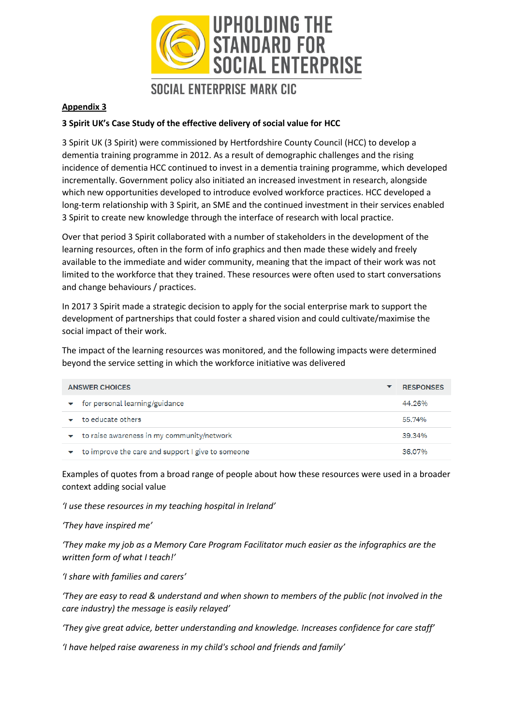

#### **Appendix 3**

#### **3 Spirit UK's Case Study of the effective delivery of social value for HCC**

3 Spirit UK (3 Spirit) were commissioned by Hertfordshire County Council (HCC) to develop a dementia training programme in 2012. As a result of demographic challenges and the rising incidence of dementia HCC continued to invest in a dementia training programme, which developed incrementally. Government policy also initiated an increased investment in research, alongside which new opportunities developed to introduce evolved workforce practices. HCC developed a long-term relationship with 3 Spirit, an SME and the continued investment in their services enabled 3 Spirit to create new knowledge through the interface of research with local practice.

Over that period 3 Spirit collaborated with a number of stakeholders in the development of the learning resources, often in the form of info graphics and then made these widely and freely available to the immediate and wider community, meaning that the impact of their work was not limited to the workforce that they trained. These resources were often used to start conversations and change behaviours / practices.

In 2017 3 Spirit made a strategic decision to apply for the social enterprise mark to support the development of partnerships that could foster a shared vision and could cultivate/maximise the social impact of their work.

The impact of the learning resources was monitored, and the following impacts were determined beyond the service setting in which the workforce initiative was delivered

| <b>ANSWER CHOICES</b> |                                                   |        |
|-----------------------|---------------------------------------------------|--------|
|                       | for personal learning/guidance                    | 44.26% |
|                       | to educate others                                 | 55.74% |
| $\blacktriangledown$  | to raise awareness in my community/network        | 39.34% |
|                       | to improve the care and support I give to someone | 36.07% |

Examples of quotes from a broad range of people about how these resources were used in a broader context adding social value

*'I use these resources in my teaching hospital in Ireland'* 

*'They have inspired me'* 

*'They make my job as a Memory Care Program Facilitator much easier as the infographics are the written form of what I teach!'*

*'I share with families and carers'* 

*'They are easy to read & understand and when shown to members of the public (not involved in the care industry) the message is easily relayed'*

*'They give great advice, better understanding and knowledge. Increases confidence for care staff'*

*'I have helped raise awareness in my child's school and friends and family'*